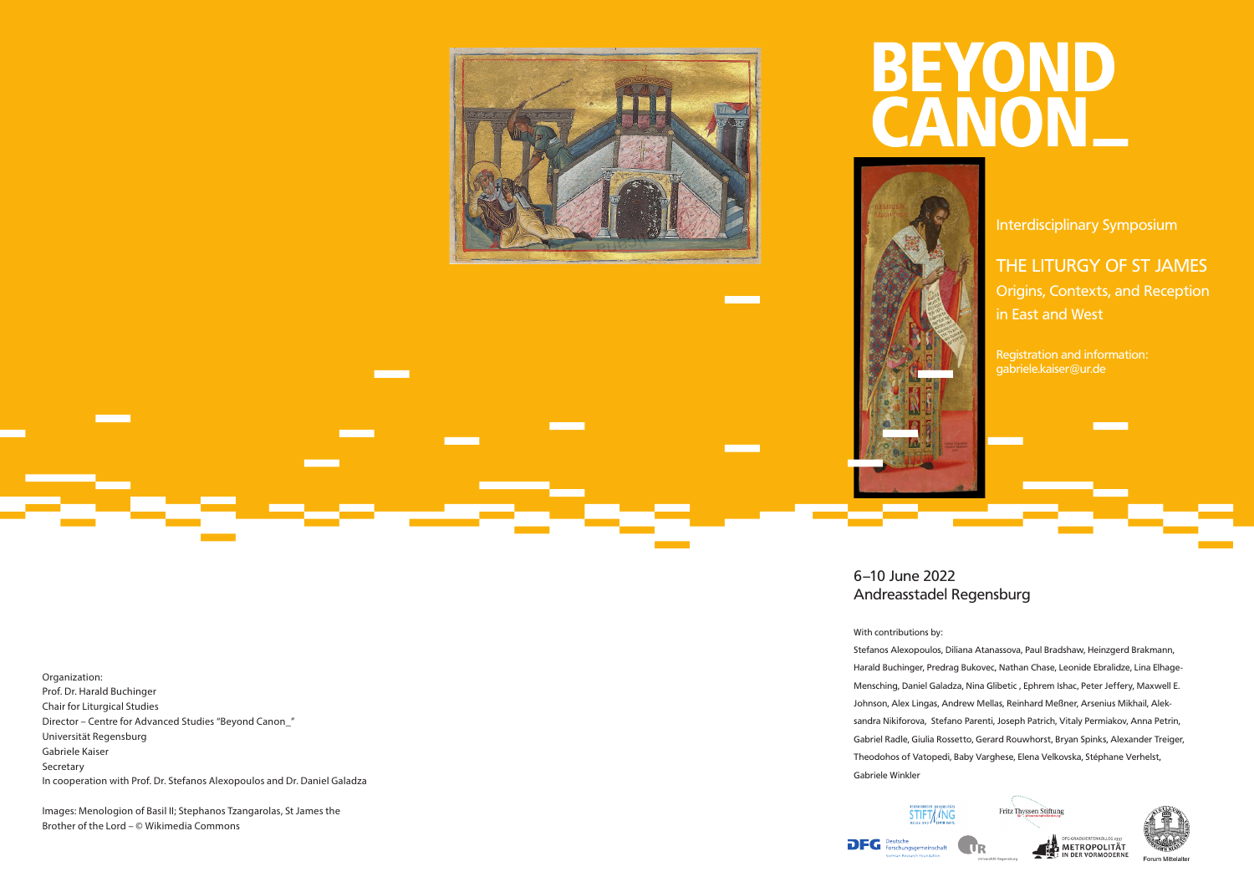

6–10 June 2022 Andreasstadel Regensburg

#### With contributions by:

Stefanos Alexopoulos, Diliana Atanassova, Paul Bradshaw, Heinzgerd Brakmann, Harald Buchinger, Predrag Bukovec, Nathan Chase, Leonide Ebralidze, Lina Elhage-Mensching, Daniel Galadza, Nina Glibetic, Ephrem Ishac, Peter Jeffery, Maxwell E. Johnson, Alex Lingas, Andrew Mellas, Reinhard Meßner, Arsenius Mikhail, Aleksandra Nikiforova, Stefano Parenti, Joseph Patrich, Vitaly Permiakov, Anna Petrin, Gabriel Radle, Giulia Rossetto, Gerard Rouwhorst, Bryan Spinks, Alexander Treiger, Theodohos of Vatopedi, Baby Varghese, Elena Velkovska, Stéphane Verhelst, Gabriele Winkler

**Fritz Thyssen Stiftung** STIFT//NG **DFG** Deutsche<br>Forschungsgemeinschaft METROPOLITÄT



Organization: Prof. Dr. Harald Buchinger Chair for Liturgical Studies Director – Centre for Advanced Studies "Beyond Canon\_" Universität Regensburg Gabriele Kaiser Secretary In cooperation with Prof. Dr. Stefanos Alexopoulos and Dr. Daniel Galadza

Images: Menologion of Basil II; Stephanos Tzangarolas, St James the Brother of the Lord – © Wikimedia Commons